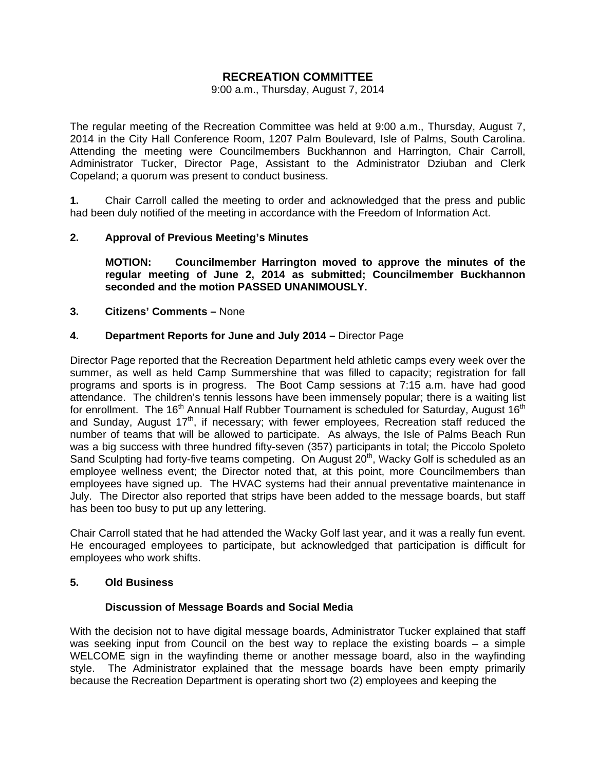# **RECREATION COMMITTEE**

#### 9:00 a.m., Thursday, August 7, 2014

The regular meeting of the Recreation Committee was held at 9:00 a.m., Thursday, August 7, 2014 in the City Hall Conference Room, 1207 Palm Boulevard, Isle of Palms, South Carolina. Attending the meeting were Councilmembers Buckhannon and Harrington, Chair Carroll, Administrator Tucker, Director Page, Assistant to the Administrator Dziuban and Clerk Copeland; a quorum was present to conduct business.

**1.** Chair Carroll called the meeting to order and acknowledged that the press and public had been duly notified of the meeting in accordance with the Freedom of Information Act.

## **2. Approval of Previous Meeting's Minutes**

 **MOTION: Councilmember Harrington moved to approve the minutes of the regular meeting of June 2, 2014 as submitted; Councilmember Buckhannon seconded and the motion PASSED UNANIMOUSLY.** 

#### **3. Citizens' Comments –** None

## **4. Department Reports for June and July 2014 –** Director Page

Director Page reported that the Recreation Department held athletic camps every week over the summer, as well as held Camp Summershine that was filled to capacity; registration for fall programs and sports is in progress. The Boot Camp sessions at 7:15 a.m. have had good attendance. The children's tennis lessons have been immensely popular; there is a waiting list for enrollment. The 16<sup>th</sup> Annual Half Rubber Tournament is scheduled for Saturday, August 16<sup>th</sup> and Sunday, August 17<sup>th</sup>, if necessary; with fewer employees, Recreation staff reduced the number of teams that will be allowed to participate. As always, the Isle of Palms Beach Run was a big success with three hundred fifty-seven (357) participants in total; the Piccolo Spoleto Sand Sculpting had forty-five teams competing. On August 20<sup>th</sup>, Wacky Golf is scheduled as an employee wellness event; the Director noted that, at this point, more Councilmembers than employees have signed up. The HVAC systems had their annual preventative maintenance in July. The Director also reported that strips have been added to the message boards, but staff has been too busy to put up any lettering.

Chair Carroll stated that he had attended the Wacky Golf last year, and it was a really fun event. He encouraged employees to participate, but acknowledged that participation is difficult for employees who work shifts.

#### **5. Old Business**

#### **Discussion of Message Boards and Social Media**

With the decision not to have digital message boards, Administrator Tucker explained that staff was seeking input from Council on the best way to replace the existing boards – a simple WELCOME sign in the wayfinding theme or another message board, also in the wayfinding style. The Administrator explained that the message boards have been empty primarily because the Recreation Department is operating short two (2) employees and keeping the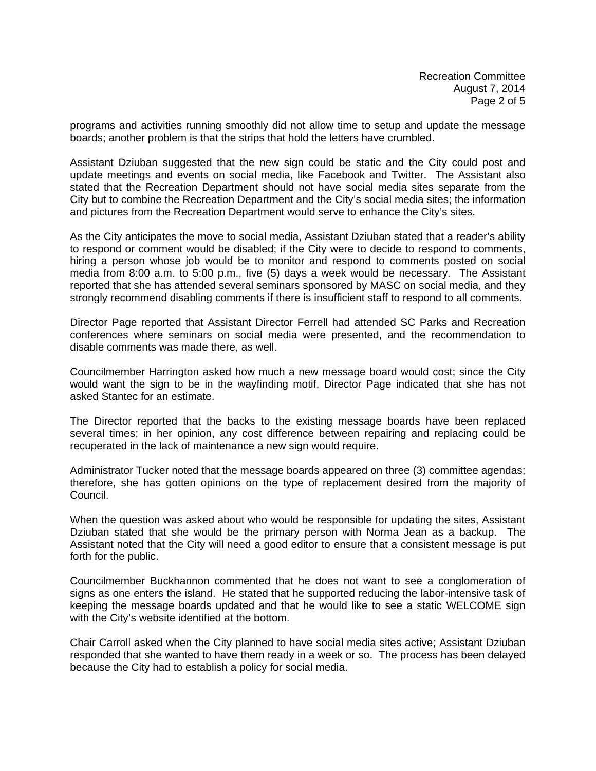programs and activities running smoothly did not allow time to setup and update the message boards; another problem is that the strips that hold the letters have crumbled.

Assistant Dziuban suggested that the new sign could be static and the City could post and update meetings and events on social media, like Facebook and Twitter. The Assistant also stated that the Recreation Department should not have social media sites separate from the City but to combine the Recreation Department and the City's social media sites; the information and pictures from the Recreation Department would serve to enhance the City's sites.

As the City anticipates the move to social media, Assistant Dziuban stated that a reader's ability to respond or comment would be disabled; if the City were to decide to respond to comments, hiring a person whose job would be to monitor and respond to comments posted on social media from 8:00 a.m. to 5:00 p.m., five (5) days a week would be necessary. The Assistant reported that she has attended several seminars sponsored by MASC on social media, and they strongly recommend disabling comments if there is insufficient staff to respond to all comments.

Director Page reported that Assistant Director Ferrell had attended SC Parks and Recreation conferences where seminars on social media were presented, and the recommendation to disable comments was made there, as well.

Councilmember Harrington asked how much a new message board would cost; since the City would want the sign to be in the wayfinding motif, Director Page indicated that she has not asked Stantec for an estimate.

The Director reported that the backs to the existing message boards have been replaced several times; in her opinion, any cost difference between repairing and replacing could be recuperated in the lack of maintenance a new sign would require.

Administrator Tucker noted that the message boards appeared on three (3) committee agendas; therefore, she has gotten opinions on the type of replacement desired from the majority of Council.

When the question was asked about who would be responsible for updating the sites, Assistant Dziuban stated that she would be the primary person with Norma Jean as a backup. The Assistant noted that the City will need a good editor to ensure that a consistent message is put forth for the public.

Councilmember Buckhannon commented that he does not want to see a conglomeration of signs as one enters the island. He stated that he supported reducing the labor-intensive task of keeping the message boards updated and that he would like to see a static WELCOME sign with the City's website identified at the bottom.

Chair Carroll asked when the City planned to have social media sites active; Assistant Dziuban responded that she wanted to have them ready in a week or so. The process has been delayed because the City had to establish a policy for social media.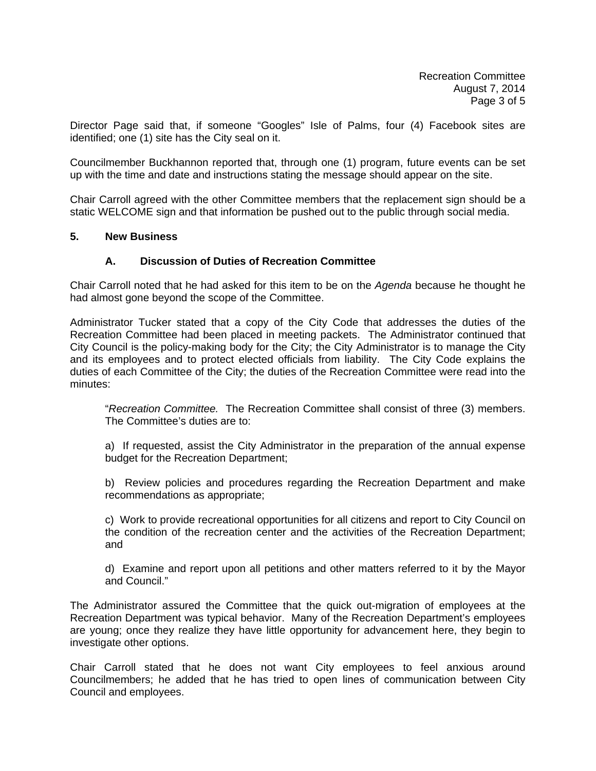Director Page said that, if someone "Googles" Isle of Palms, four (4) Facebook sites are identified; one (1) site has the City seal on it.

Councilmember Buckhannon reported that, through one (1) program, future events can be set up with the time and date and instructions stating the message should appear on the site.

Chair Carroll agreed with the other Committee members that the replacement sign should be a static WELCOME sign and that information be pushed out to the public through social media.

#### **5. New Business**

#### **A. Discussion of Duties of Recreation Committee**

Chair Carroll noted that he had asked for this item to be on the *Agenda* because he thought he had almost gone beyond the scope of the Committee.

Administrator Tucker stated that a copy of the City Code that addresses the duties of the Recreation Committee had been placed in meeting packets. The Administrator continued that City Council is the policy-making body for the City; the City Administrator is to manage the City and its employees and to protect elected officials from liability. The City Code explains the duties of each Committee of the City; the duties of the Recreation Committee were read into the minutes:

 "*Recreation Committee.* The Recreation Committee shall consist of three (3) members. The Committee's duties are to:

 a) If requested, assist the City Administrator in the preparation of the annual expense budget for the Recreation Department;

 b) Review policies and procedures regarding the Recreation Department and make recommendations as appropriate;

 c) Work to provide recreational opportunities for all citizens and report to City Council on the condition of the recreation center and the activities of the Recreation Department; and

 d) Examine and report upon all petitions and other matters referred to it by the Mayor and Council."

The Administrator assured the Committee that the quick out-migration of employees at the Recreation Department was typical behavior. Many of the Recreation Department's employees are young; once they realize they have little opportunity for advancement here, they begin to investigate other options.

Chair Carroll stated that he does not want City employees to feel anxious around Councilmembers; he added that he has tried to open lines of communication between City Council and employees.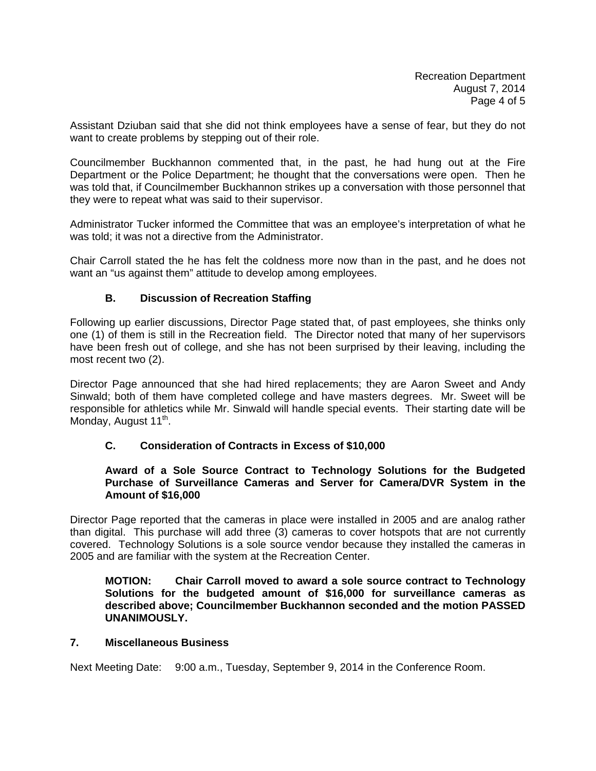Assistant Dziuban said that she did not think employees have a sense of fear, but they do not want to create problems by stepping out of their role.

Councilmember Buckhannon commented that, in the past, he had hung out at the Fire Department or the Police Department; he thought that the conversations were open. Then he was told that, if Councilmember Buckhannon strikes up a conversation with those personnel that they were to repeat what was said to their supervisor.

Administrator Tucker informed the Committee that was an employee's interpretation of what he was told; it was not a directive from the Administrator.

Chair Carroll stated the he has felt the coldness more now than in the past, and he does not want an "us against them" attitude to develop among employees.

# **B. Discussion of Recreation Staffing**

Following up earlier discussions, Director Page stated that, of past employees, she thinks only one (1) of them is still in the Recreation field. The Director noted that many of her supervisors have been fresh out of college, and she has not been surprised by their leaving, including the most recent two (2).

Director Page announced that she had hired replacements; they are Aaron Sweet and Andy Sinwald; both of them have completed college and have masters degrees. Mr. Sweet will be responsible for athletics while Mr. Sinwald will handle special events. Their starting date will be Monday, August 11<sup>th</sup>.

# **C. Consideration of Contracts in Excess of \$10,000**

## **Award of a Sole Source Contract to Technology Solutions for the Budgeted Purchase of Surveillance Cameras and Server for Camera/DVR System in the Amount of \$16,000**

Director Page reported that the cameras in place were installed in 2005 and are analog rather than digital. This purchase will add three (3) cameras to cover hotspots that are not currently covered. Technology Solutions is a sole source vendor because they installed the cameras in 2005 and are familiar with the system at the Recreation Center.

**MOTION: Chair Carroll moved to award a sole source contract to Technology Solutions for the budgeted amount of \$16,000 for surveillance cameras as described above; Councilmember Buckhannon seconded and the motion PASSED UNANIMOUSLY.** 

#### **7. Miscellaneous Business**

Next Meeting Date: 9:00 a.m., Tuesday, September 9, 2014 in the Conference Room.